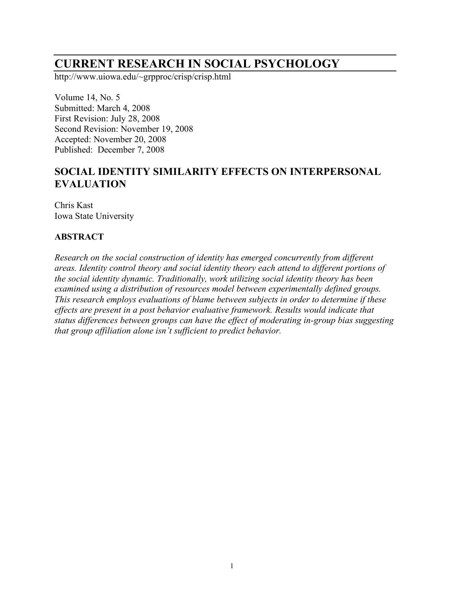# **CURRENT RESEARCH IN SOCIAL PSYCHOLOGY**

http://www.uiowa.edu/~grpproc/crisp/crisp.html

Volume 14, No. 5 Submitted: March 4, 2008 First Revision: July 28, 2008 Second Revision: November 19, 2008 Accepted: November 20, 2008 Published: December 7, 2008

## **SOCIAL IDENTITY SIMILARITY EFFECTS ON INTERPERSONAL EVALUATION**

Chris Kast Iowa State University

#### **ABSTRACT**

*Research on the social construction of identity has emerged concurrently from different areas. Identity control theory and social identity theory each attend to different portions of the social identity dynamic. Traditionally, work utilizing social identity theory has been examined using a distribution of resources model between experimentally defined groups. This research employs evaluations of blame between subjects in order to determine if these effects are present in a post behavior evaluative framework. Results would indicate that status differences between groups can have the effect of moderating in-group bias suggesting that group affiliation alone isn't sufficient to predict behavior.*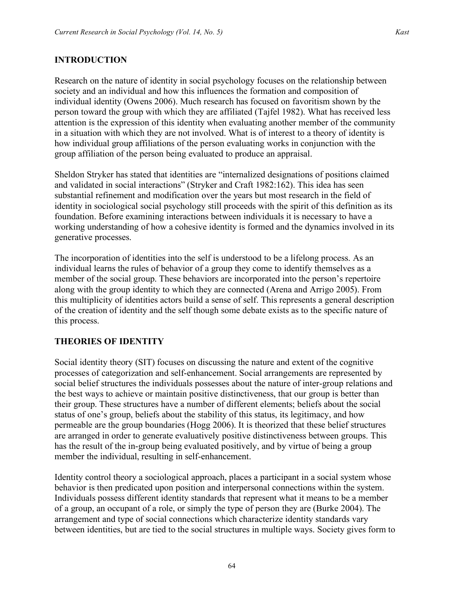#### **INTRODUCTION**

Research on the nature of identity in social psychology focuses on the relationship between society and an individual and how this influences the formation and composition of individual identity (Owens 2006). Much research has focused on favoritism shown by the person toward the group with which they are affiliated (Tajfel 1982). What has received less attention is the expression of this identity when evaluating another member of the community in a situation with which they are not involved. What is of interest to a theory of identity is how individual group affiliations of the person evaluating works in conjunction with the group affiliation of the person being evaluated to produce an appraisal.

Sheldon Stryker has stated that identities are "internalized designations of positions claimed and validated in social interactions" (Stryker and Craft 1982:162). This idea has seen substantial refinement and modification over the years but most research in the field of identity in sociological social psychology still proceeds with the spirit of this definition as its foundation. Before examining interactions between individuals it is necessary to have a working understanding of how a cohesive identity is formed and the dynamics involved in its generative processes.

The incorporation of identities into the self is understood to be a lifelong process. As an individual learns the rules of behavior of a group they come to identify themselves as a member of the social group. These behaviors are incorporated into the person's repertoire along with the group identity to which they are connected (Arena and Arrigo 2005). From this multiplicity of identities actors build a sense of self. This represents a general description of the creation of identity and the self though some debate exists as to the specific nature of this process.

#### **THEORIES OF IDENTITY**

Social identity theory (SIT) focuses on discussing the nature and extent of the cognitive processes of categorization and self-enhancement. Social arrangements are represented by social belief structures the individuals possesses about the nature of inter-group relations and the best ways to achieve or maintain positive distinctiveness, that our group is better than their group. These structures have a number of different elements; beliefs about the social status of one's group, beliefs about the stability of this status, its legitimacy, and how permeable are the group boundaries (Hogg 2006). It is theorized that these belief structures are arranged in order to generate evaluatively positive distinctiveness between groups. This has the result of the in-group being evaluated positively, and by virtue of being a group member the individual, resulting in self-enhancement.

Identity control theory a sociological approach, places a participant in a social system whose behavior is then predicated upon position and interpersonal connections within the system. Individuals possess different identity standards that represent what it means to be a member of a group, an occupant of a role, or simply the type of person they are (Burke 2004). The arrangement and type of social connections which characterize identity standards vary between identities, but are tied to the social structures in multiple ways. Society gives form to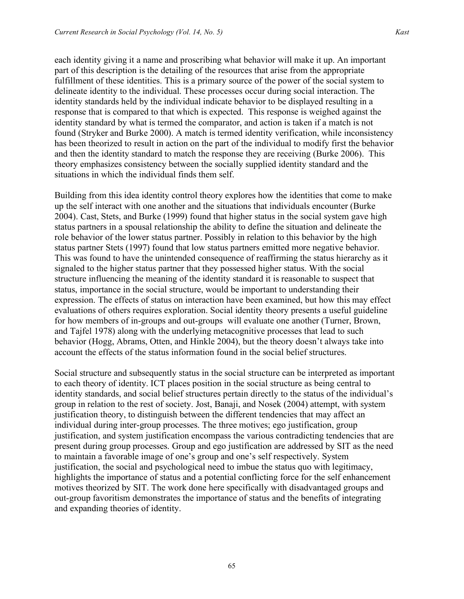each identity giving it a name and proscribing what behavior will make it up. An important part of this description is the detailing of the resources that arise from the appropriate fulfillment of these identities. This is a primary source of the power of the social system to delineate identity to the individual. These processes occur during social interaction. The identity standards held by the individual indicate behavior to be displayed resulting in a response that is compared to that which is expected. This response is weighed against the identity standard by what is termed the comparator, and action is taken if a match is not found (Stryker and Burke 2000). A match is termed identity verification, while inconsistency has been theorized to result in action on the part of the individual to modify first the behavior and then the identity standard to match the response they are receiving (Burke 2006). This theory emphasizes consistency between the socially supplied identity standard and the situations in which the individual finds them self.

Building from this idea identity control theory explores how the identities that come to make up the self interact with one another and the situations that individuals encounter (Burke 2004). Cast, Stets, and Burke (1999) found that higher status in the social system gave high status partners in a spousal relationship the ability to define the situation and delineate the role behavior of the lower status partner. Possibly in relation to this behavior by the high status partner Stets (1997) found that low status partners emitted more negative behavior. This was found to have the unintended consequence of reaffirming the status hierarchy as it signaled to the higher status partner that they possessed higher status. With the social structure influencing the meaning of the identity standard it is reasonable to suspect that status, importance in the social structure, would be important to understanding their expression. The effects of status on interaction have been examined, but how this may effect evaluations of others requires exploration. Social identity theory presents a useful guideline for how members of in-groups and out-groups will evaluate one another (Turner, Brown, and Tajfel 1978) along with the underlying metacognitive processes that lead to such behavior (Hogg, Abrams, Otten, and Hinkle 2004), but the theory doesn't always take into account the effects of the status information found in the social belief structures.

Social structure and subsequently status in the social structure can be interpreted as important to each theory of identity. ICT places position in the social structure as being central to identity standards, and social belief structures pertain directly to the status of the individual's group in relation to the rest of society. Jost, Banaji, and Nosek (2004) attempt, with system justification theory, to distinguish between the different tendencies that may affect an individual during inter-group processes. The three motives; ego justification, group justification, and system justification encompass the various contradicting tendencies that are present during group processes. Group and ego justification are addressed by SIT as the need to maintain a favorable image of one's group and one's self respectively. System justification, the social and psychological need to imbue the status quo with legitimacy, highlights the importance of status and a potential conflicting force for the self enhancement motives theorized by SIT. The work done here specifically with disadvantaged groups and out-group favoritism demonstrates the importance of status and the benefits of integrating and expanding theories of identity.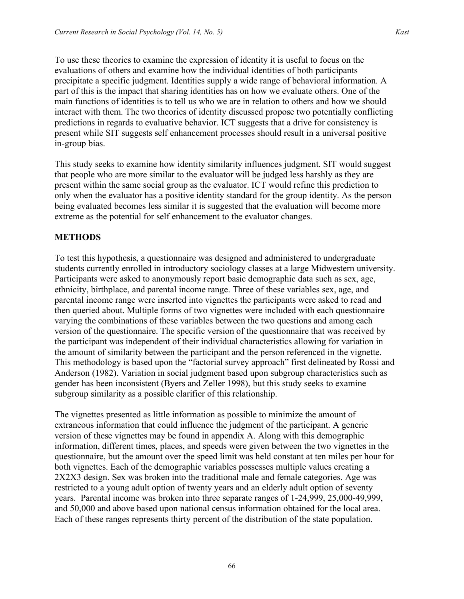To use these theories to examine the expression of identity it is useful to focus on the evaluations of others and examine how the individual identities of both participants precipitate a specific judgment. Identities supply a wide range of behavioral information. A part of this is the impact that sharing identities has on how we evaluate others. One of the main functions of identities is to tell us who we are in relation to others and how we should interact with them. The two theories of identity discussed propose two potentially conflicting predictions in regards to evaluative behavior. ICT suggests that a drive for consistency is present while SIT suggests self enhancement processes should result in a universal positive in-group bias.

This study seeks to examine how identity similarity influences judgment. SIT would suggest that people who are more similar to the evaluator will be judged less harshly as they are present within the same social group as the evaluator. ICT would refine this prediction to only when the evaluator has a positive identity standard for the group identity. As the person being evaluated becomes less similar it is suggested that the evaluation will become more extreme as the potential for self enhancement to the evaluator changes.

#### **METHODS**

To test this hypothesis, a questionnaire was designed and administered to undergraduate students currently enrolled in introductory sociology classes at a large Midwestern university. Participants were asked to anonymously report basic demographic data such as sex, age, ethnicity, birthplace, and parental income range. Three of these variables sex, age, and parental income range were inserted into vignettes the participants were asked to read and then queried about. Multiple forms of two vignettes were included with each questionnaire varying the combinations of these variables between the two questions and among each version of the questionnaire. The specific version of the questionnaire that was received by the participant was independent of their individual characteristics allowing for variation in the amount of similarity between the participant and the person referenced in the vignette. This methodology is based upon the "factorial survey approach" first delineated by Rossi and Anderson (1982). Variation in social judgment based upon subgroup characteristics such as gender has been inconsistent (Byers and Zeller 1998), but this study seeks to examine subgroup similarity as a possible clarifier of this relationship.

The vignettes presented as little information as possible to minimize the amount of extraneous information that could influence the judgment of the participant. A generic version of these vignettes may be found in appendix A. Along with this demographic information, different times, places, and speeds were given between the two vignettes in the questionnaire, but the amount over the speed limit was held constant at ten miles per hour for both vignettes. Each of the demographic variables possesses multiple values creating a 2X2X3 design. Sex was broken into the traditional male and female categories. Age was restricted to a young adult option of twenty years and an elderly adult option of seventy years. Parental income was broken into three separate ranges of 1-24,999, 25,000-49,999, and 50,000 and above based upon national census information obtained for the local area. Each of these ranges represents thirty percent of the distribution of the state population.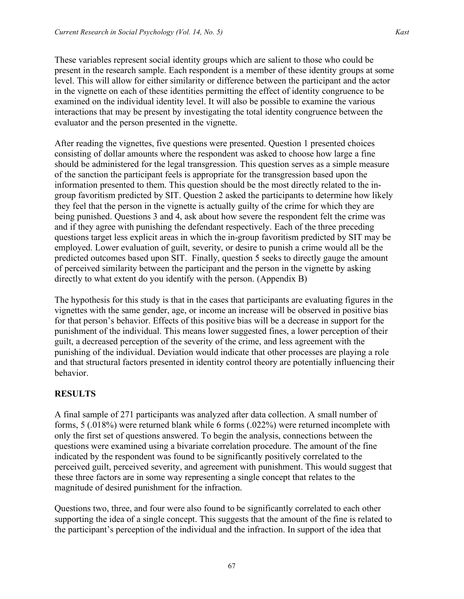These variables represent social identity groups which are salient to those who could be present in the research sample. Each respondent is a member of these identity groups at some level. This will allow for either similarity or difference between the participant and the actor in the vignette on each of these identities permitting the effect of identity congruence to be examined on the individual identity level. It will also be possible to examine the various interactions that may be present by investigating the total identity congruence between the evaluator and the person presented in the vignette.

After reading the vignettes, five questions were presented. Question 1 presented choices consisting of dollar amounts where the respondent was asked to choose how large a fine should be administered for the legal transgression. This question serves as a simple measure of the sanction the participant feels is appropriate for the transgression based upon the information presented to them. This question should be the most directly related to the ingroup favoritism predicted by SIT. Question 2 asked the participants to determine how likely they feel that the person in the vignette is actually guilty of the crime for which they are being punished. Questions 3 and 4, ask about how severe the respondent felt the crime was and if they agree with punishing the defendant respectively. Each of the three preceding questions target less explicit areas in which the in-group favoritism predicted by SIT may be employed. Lower evaluation of guilt, severity, or desire to punish a crime would all be the predicted outcomes based upon SIT. Finally, question 5 seeks to directly gauge the amount of perceived similarity between the participant and the person in the vignette by asking directly to what extent do you identify with the person. (Appendix B)

The hypothesis for this study is that in the cases that participants are evaluating figures in the vignettes with the same gender, age, or income an increase will be observed in positive bias for that person's behavior. Effects of this positive bias will be a decrease in support for the punishment of the individual. This means lower suggested fines, a lower perception of their guilt, a decreased perception of the severity of the crime, and less agreement with the punishing of the individual. Deviation would indicate that other processes are playing a role and that structural factors presented in identity control theory are potentially influencing their behavior.

## **RESULTS**

A final sample of 271 participants was analyzed after data collection. A small number of forms, 5 (.018%) were returned blank while 6 forms (.022%) were returned incomplete with only the first set of questions answered. To begin the analysis, connections between the questions were examined using a bivariate correlation procedure. The amount of the fine indicated by the respondent was found to be significantly positively correlated to the perceived guilt, perceived severity, and agreement with punishment. This would suggest that these three factors are in some way representing a single concept that relates to the magnitude of desired punishment for the infraction.

Questions two, three, and four were also found to be significantly correlated to each other supporting the idea of a single concept. This suggests that the amount of the fine is related to the participant's perception of the individual and the infraction. In support of the idea that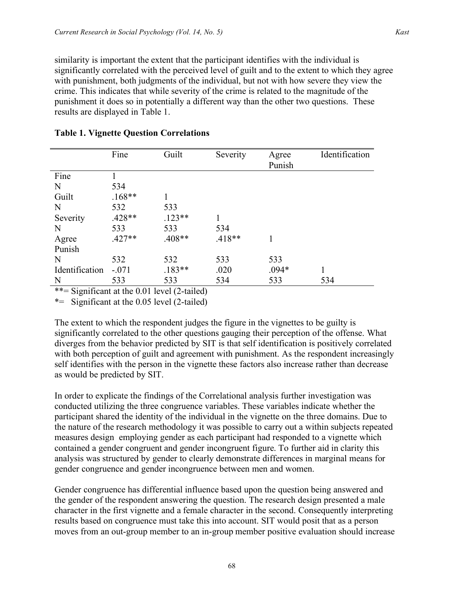similarity is important the extent that the participant identifies with the individual is significantly correlated with the perceived level of guilt and to the extent to which they agree with punishment, both judgments of the individual, but not with how severe they view the crime. This indicates that while severity of the crime is related to the magnitude of the punishment it does so in potentially a different way than the other two questions. These results are displayed in Table 1.

|                | Fine     | Guilt    | Severity | Agree<br>Punish | Identification |
|----------------|----------|----------|----------|-----------------|----------------|
| Fine           |          |          |          |                 |                |
| N              | 534      |          |          |                 |                |
| Guilt          | $.168**$ | 1        |          |                 |                |
| N              | 532      | 533      |          |                 |                |
| Severity       | $.428**$ | $.123**$ |          |                 |                |
| $\mathbf N$    | 533      | 533      | 534      |                 |                |
| Agree          | $.427**$ | $.408**$ | $.418**$ |                 |                |
| Punish         |          |          |          |                 |                |
| N              | 532      | 532      | 533      | 533             |                |
| Identification | $-.071$  | $.183**$ | .020     | $.094*$         |                |
| N              | 533      | 533      | 534      | 533             | 534            |

#### **Table 1. Vignette Question Correlations**

\*\*= Significant at the 0.01 level (2-tailed)

\*= Significant at the 0.05 level (2-tailed)

The extent to which the respondent judges the figure in the vignettes to be guilty is significantly correlated to the other questions gauging their perception of the offense. What diverges from the behavior predicted by SIT is that self identification is positively correlated with both perception of guilt and agreement with punishment. As the respondent increasingly self identifies with the person in the vignette these factors also increase rather than decrease as would be predicted by SIT.

In order to explicate the findings of the Correlational analysis further investigation was conducted utilizing the three congruence variables. These variables indicate whether the participant shared the identity of the individual in the vignette on the three domains. Due to the nature of the research methodology it was possible to carry out a within subjects repeated measures design employing gender as each participant had responded to a vignette which contained a gender congruent and gender incongruent figure. To further aid in clarity this analysis was structured by gender to clearly demonstrate differences in marginal means for gender congruence and gender incongruence between men and women.

Gender congruence has differential influence based upon the question being answered and the gender of the respondent answering the question. The research design presented a male character in the first vignette and a female character in the second. Consequently interpreting results based on congruence must take this into account. SIT would posit that as a person moves from an out-group member to an in-group member positive evaluation should increase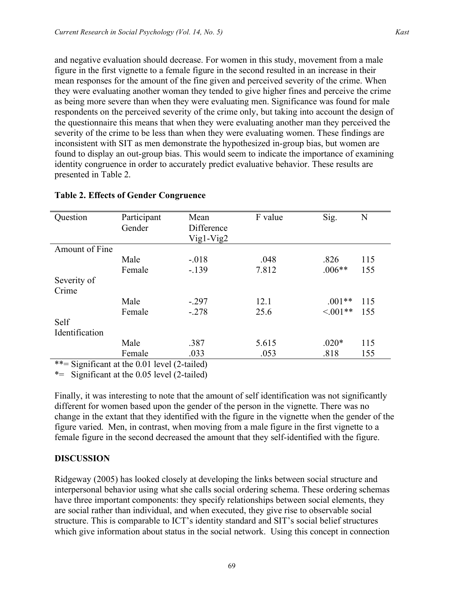and negative evaluation should decrease. For women in this study, movement from a male figure in the first vignette to a female figure in the second resulted in an increase in their mean responses for the amount of the fine given and perceived severity of the crime. When they were evaluating another woman they tended to give higher fines and perceive the crime as being more severe than when they were evaluating men. Significance was found for male respondents on the perceived severity of the crime only, but taking into account the design of the questionnaire this means that when they were evaluating another man they perceived the severity of the crime to be less than when they were evaluating women. These findings are inconsistent with SIT as men demonstrate the hypothesized in-group bias, but women are found to display an out-group bias. This would seem to indicate the importance of examining identity congruence in order to accurately predict evaluative behavior. These results are presented in Table 2.

| Question                          | Participant         | Mean                | F value | Sig.          | N   |
|-----------------------------------|---------------------|---------------------|---------|---------------|-----|
|                                   | Gender              | Difference          |         |               |     |
|                                   |                     | $Vig1-Vig2$         |         |               |     |
|                                   |                     |                     |         |               |     |
| Amount of Fine                    |                     |                     |         |               |     |
|                                   | Male                | $-.018$             | .048    | .826          | 115 |
|                                   | Female              | $-139$              | 7.812   | $.006**$      | 155 |
| Severity of                       |                     |                     |         |               |     |
| Crime                             |                     |                     |         |               |     |
|                                   | Male                | $-.297$             | 12.1    | $.001**$      | 115 |
|                                   | Female              | $-.278$             | 25.6    | $\leq 0.01**$ | 155 |
| Self                              |                     |                     |         |               |     |
| Identification                    |                     |                     |         |               |     |
|                                   | Male                | .387                | 5.615   | $.020*$       | 115 |
|                                   | Female              | .033                | .053    | .818          | 155 |
| $\cdot \sim$<br>مله مله<br>$\sim$ | $\sqrt{1 + \alpha}$ | $1/2$ , $1 \quad 1$ |         |               |     |

#### **Table 2. Effects of Gender Congruence**

\*\*= Significant at the 0.01 level (2-tailed)

\*= Significant at the 0.05 level (2-tailed)

Finally, it was interesting to note that the amount of self identification was not significantly different for women based upon the gender of the person in the vignette. There was no change in the extant that they identified with the figure in the vignette when the gender of the figure varied. Men, in contrast, when moving from a male figure in the first vignette to a female figure in the second decreased the amount that they self-identified with the figure.

#### **DISCUSSION**

Ridgeway (2005) has looked closely at developing the links between social structure and interpersonal behavior using what she calls social ordering schema. These ordering schemas have three important components: they specify relationships between social elements, they are social rather than individual, and when executed, they give rise to observable social structure. This is comparable to ICT's identity standard and SIT's social belief structures which give information about status in the social network. Using this concept in connection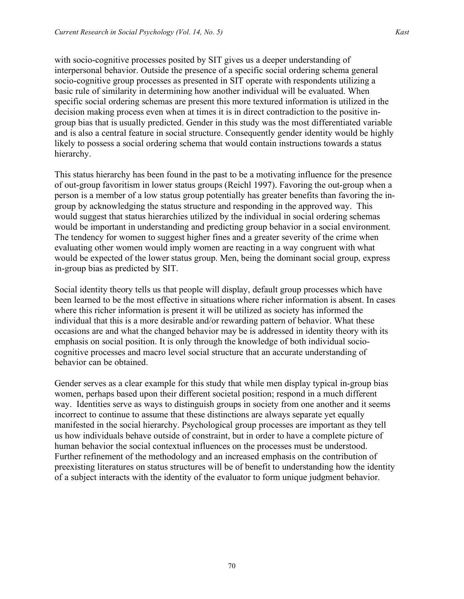with socio-cognitive processes posited by SIT gives us a deeper understanding of interpersonal behavior. Outside the presence of a specific social ordering schema general socio-cognitive group processes as presented in SIT operate with respondents utilizing a basic rule of similarity in determining how another individual will be evaluated. When specific social ordering schemas are present this more textured information is utilized in the decision making process even when at times it is in direct contradiction to the positive ingroup bias that is usually predicted. Gender in this study was the most differentiated variable and is also a central feature in social structure. Consequently gender identity would be highly likely to possess a social ordering schema that would contain instructions towards a status hierarchy.

This status hierarchy has been found in the past to be a motivating influence for the presence of out-group favoritism in lower status groups (Reichl 1997). Favoring the out-group when a person is a member of a low status group potentially has greater benefits than favoring the ingroup by acknowledging the status structure and responding in the approved way. This would suggest that status hierarchies utilized by the individual in social ordering schemas would be important in understanding and predicting group behavior in a social environment. The tendency for women to suggest higher fines and a greater severity of the crime when evaluating other women would imply women are reacting in a way congruent with what would be expected of the lower status group. Men, being the dominant social group, express in-group bias as predicted by SIT.

Social identity theory tells us that people will display, default group processes which have been learned to be the most effective in situations where richer information is absent. In cases where this richer information is present it will be utilized as society has informed the individual that this is a more desirable and/or rewarding pattern of behavior. What these occasions are and what the changed behavior may be is addressed in identity theory with its emphasis on social position. It is only through the knowledge of both individual sociocognitive processes and macro level social structure that an accurate understanding of behavior can be obtained.

Gender serves as a clear example for this study that while men display typical in-group bias women, perhaps based upon their different societal position; respond in a much different way. Identities serve as ways to distinguish groups in society from one another and it seems incorrect to continue to assume that these distinctions are always separate yet equally manifested in the social hierarchy. Psychological group processes are important as they tell us how individuals behave outside of constraint, but in order to have a complete picture of human behavior the social contextual influences on the processes must be understood. Further refinement of the methodology and an increased emphasis on the contribution of preexisting literatures on status structures will be of benefit to understanding how the identity of a subject interacts with the identity of the evaluator to form unique judgment behavior.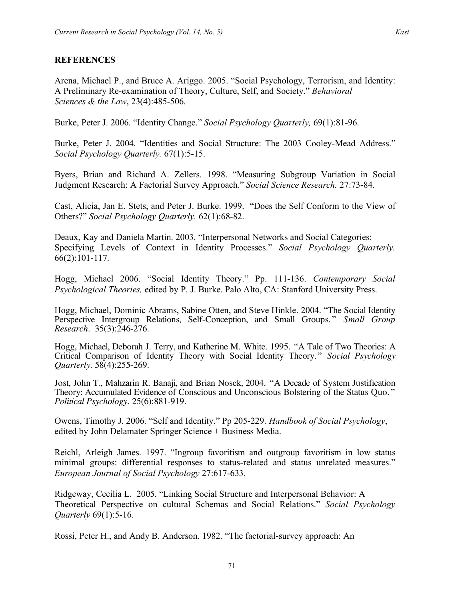Arena, Michael P., and Bruce A. Ariggo. 2005. "Social Psychology, Terrorism, and Identity: A Preliminary Re-examination of Theory, Culture, Self, and Society." *Behavioral Sciences & the Law*, 23(4):485-506.

Burke, Peter J. 2006. "Identity Change." *Social Psychology Quarterly,* 69(1):81-96.

Burke, Peter J. 2004. "Identities and Social Structure: The 2003 Cooley-Mead Address." *Social Psychology Quarterly.* 67(1):5-15.

Byers, Brian and Richard A. Zellers. 1998. "Measuring Subgroup Variation in Social Judgment Research: A Factorial Survey Approach." *Social Science Research.* 27:73-84.

Cast, Alicia, Jan E. Stets, and Peter J. Burke. 1999. "Does the Self Conform to the View of Others?" *Social Psychology Quarterly.* 62(1):68-82.

Deaux, Kay and Daniela Martin. 2003. "Interpersonal Networks and Social Categories: Specifying Levels of Context in Identity Processes." *Social Psychology Quarterly.* 66(2):101-117.

Hogg, Michael 2006. "Social Identity Theory." Pp. 111-136. *Contemporary Social Psychological Theories,* edited by P. J. Burke. Palo Alto, CA: Stanford University Press.

Hogg, Michael, Dominic Abrams, Sabine Otten, and Steve Hinkle. 2004. "The Social Identity Perspective Intergroup Relations, Self-Conception, and Small Groups." *Small Group Research*. 35(3):246-276.

Hogg, Michael, Deborah J. Terry, and Katherine M. White. 1995. "A Tale of Two Theories: A Critical Comparison of Identity Theory with Social Identity Theory." *Social Psychology Quarterly*. 58(4):255-269.

Jost, John T., Mahzarin R. Banaji, and Brian Nosek, 2004. "A Decade of System Justification Theory: Accumulated Evidence of Conscious and Unconscious Bolstering of the Status Quo. " *Political Psychology.* 25(6):881-919.

Owens, Timothy J. 2006. "Self and Identity." Pp 205-229. *Handbook of Social Psychology*, edited by John Delamater Springer Science + Business Media.

Reichl, Arleigh James. 1997. "Ingroup favoritism and outgroup favoritism in low status minimal groups: differential responses to status-related and status unrelated measures." *European Journal of Social Psychology* 27:617-633.

Ridgeway, Cecilia L. 2005. "Linking Social Structure and Interpersonal Behavior: A Theoretical Perspective on cultural Schemas and Social Relations." *Social Psychology Quarterly* 69(1):5-16.

Rossi, Peter H., and Andy B. Anderson. 1982. "The factorial-survey approach: An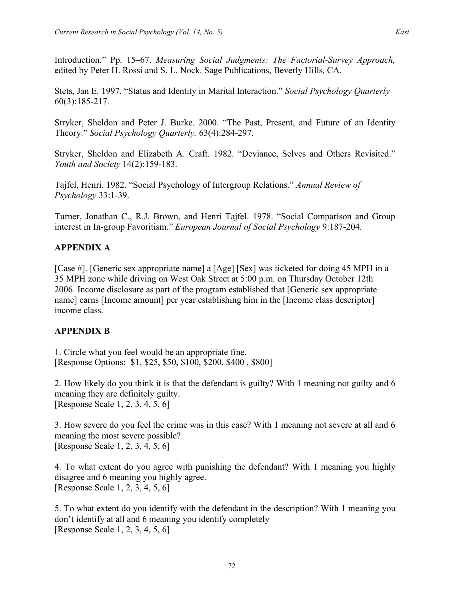Stets, Jan E. 1997. "Status and Identity in Marital Interaction." *Social Psychology Quarterly* 60(3):185-217.

Stryker, Sheldon and Peter J. Burke. 2000. "The Past, Present, and Future of an Identity Theory." *Social Psychology Quarterly.* 63(4):284-297.

Stryker, Sheldon and Elizabeth A. Craft. 1982. "Deviance, Selves and Others Revisited." *Youth and Society* 14(2):159-183.

Tajfel, Henri. 1982. "Social Psychology of Intergroup Relations." *Annual Review of Psychology* 33:1-39.

Turner, Jonathan C., R.J. Brown, and Henri Tajfel. 1978. "Social Comparison and Group interest in In-group Favoritism." *European Journal of Social Psychology* 9:187-204.

## **APPENDIX A**

[Case #]. [Generic sex appropriate name] a [Age] [Sex] was ticketed for doing 45 MPH in a 35 MPH zone while driving on West Oak Street at 5:00 p.m. on Thursday October 12th 2006. Income disclosure as part of the program established that [Generic sex appropriate name] earns [Income amount] per year establishing him in the [Income class descriptor] income class.

## **APPENDIX B**

1. Circle what you feel would be an appropriate fine. [Response Options: \$1, \$25, \$50, \$100, \$200, \$400 , \$800]

2. How likely do you think it is that the defendant is guilty? With 1 meaning not guilty and 6 meaning they are definitely guilty. [Response Scale 1, 2, 3, 4, 5, 6]

3. How severe do you feel the crime was in this case? With 1 meaning not severe at all and 6 meaning the most severe possible? [Response Scale 1, 2, 3, 4, 5, 6]

4. To what extent do you agree with punishing the defendant? With 1 meaning you highly disagree and 6 meaning you highly agree. [Response Scale 1, 2, 3, 4, 5, 6]

5. To what extent do you identify with the defendant in the description? With 1 meaning you don't identify at all and 6 meaning you identify completely [Response Scale 1, 2, 3, 4, 5, 6]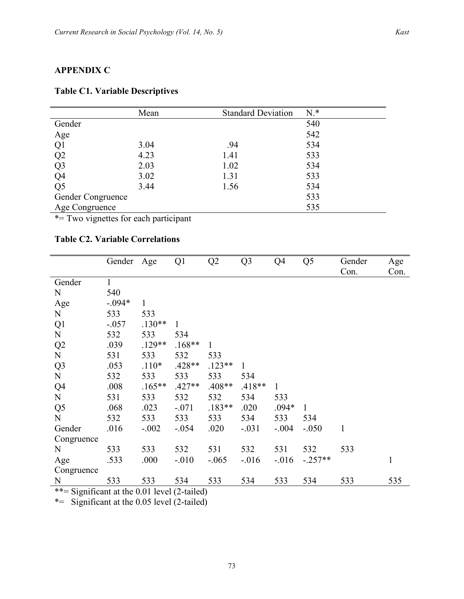## **APPENDIX C**

|                              | Mean | <b>Standard Deviation</b> | $N.*$ |
|------------------------------|------|---------------------------|-------|
| Gender                       |      |                           | 540   |
| Age                          |      |                           | 542   |
| Q1                           | 3.04 | .94                       | 534   |
| $Q2$<br>$Q3$<br>$Q4$<br>$Q5$ | 4.23 | 1.41                      | 533   |
|                              | 2.03 | 1.02                      | 534   |
|                              | 3.02 | 1.31                      | 533   |
|                              | 3.44 | 1.56                      | 534   |
| Gender Congruence            |      |                           | 533   |
| Age Congruence               |      |                           | 535   |

#### **Table C1. Variable Descriptives**

\*= Two vignettes for each participant

## **Table C2. Variable Correlations**

|                | Gender Age |              | Q1       | Q2           | Q <sub>3</sub> | Q4       | Q <sub>5</sub> | Gender<br>Con. | Age<br>Con.  |
|----------------|------------|--------------|----------|--------------|----------------|----------|----------------|----------------|--------------|
| Gender         | 1          |              |          |              |                |          |                |                |              |
| N              | 540        |              |          |              |                |          |                |                |              |
| Age            | $-.094*$   | $\mathbf{1}$ |          |              |                |          |                |                |              |
| N              | 533        | 533          |          |              |                |          |                |                |              |
| Q1             | $-.057$    | $.130**$     | 1        |              |                |          |                |                |              |
| ${\bf N}$      | 532        | 533          | 534      |              |                |          |                |                |              |
| Q2             | .039       | $.129**$     | $.168**$ | $\mathbf{1}$ |                |          |                |                |              |
| N              | 531        | 533          | 532      | 533          |                |          |                |                |              |
| Q <sub>3</sub> | .053       | $.110*$      | $.428**$ | $.123**$     | $\mathbf{1}$   |          |                |                |              |
| ${\bf N}$      | 532        | 533          | 533      | 533          | 534            |          |                |                |              |
| Q4             | .008       | $.165***$    | $.427**$ | $.408**$     | $.418**$       | 1        |                |                |              |
| ${\bf N}$      | 531        | 533          | 532      | 532          | 534            | 533      |                |                |              |
| Q <sub>5</sub> | .068       | .023         | $-.071$  | $.183**$     | .020           | $.094*$  | $\mathbf{1}$   |                |              |
| $\mathbf N$    | 532        | 533          | 533      | 533          | 534            | 533      | 534            |                |              |
| Gender         | .016       | $-.002$      | $-.054$  | .020         | $-.031$        | $-.004$  | $-.050$        | $\mathbf{1}$   |              |
| Congruence     |            |              |          |              |                |          |                |                |              |
| N              | 533        | 533          | 532      | 531          | 532            | 531      | 532            | 533            |              |
| Age            | .533       | .000         | $-.010$  | $-.065$      | $-.016$        | $-0.016$ | $-.257**$      |                | $\mathbf{1}$ |
| Congruence     |            |              |          |              |                |          |                |                |              |
| N              | 533        | 533          | 534      | 533          | 534            | 533      | 534            | 533            | 535          |

\*\*= Significant at the 0.01 level (2-tailed)

\*= Significant at the 0.05 level (2-tailed)